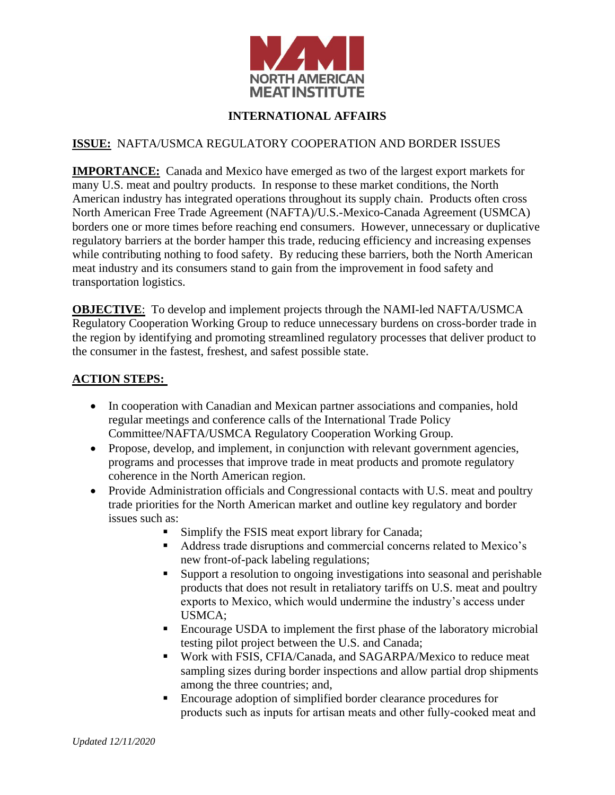

## **INTERNATIONAL AFFAIRS**

## **ISSUE:** NAFTA/USMCA REGULATORY COOPERATION AND BORDER ISSUES

**IMPORTANCE:** Canada and Mexico have emerged as two of the largest export markets for many U.S. meat and poultry products. In response to these market conditions, the North American industry has integrated operations throughout its supply chain. Products often cross North American Free Trade Agreement (NAFTA)/U.S.-Mexico-Canada Agreement (USMCA) borders one or more times before reaching end consumers. However, unnecessary or duplicative regulatory barriers at the border hamper this trade, reducing efficiency and increasing expenses while contributing nothing to food safety. By reducing these barriers, both the North American meat industry and its consumers stand to gain from the improvement in food safety and transportation logistics.

**OBJECTIVE**: To develop and implement projects through the NAMI-led NAFTA/USMCA Regulatory Cooperation Working Group to reduce unnecessary burdens on cross-border trade in the region by identifying and promoting streamlined regulatory processes that deliver product to the consumer in the fastest, freshest, and safest possible state.

## **ACTION STEPS:**

- In cooperation with Canadian and Mexican partner associations and companies, hold regular meetings and conference calls of the International Trade Policy Committee/NAFTA/USMCA Regulatory Cooperation Working Group.
- Propose, develop, and implement, in conjunction with relevant government agencies, programs and processes that improve trade in meat products and promote regulatory coherence in the North American region.
- Provide Administration officials and Congressional contacts with U.S. meat and poultry trade priorities for the North American market and outline key regulatory and border issues such as:
	- Simplify the FSIS meat export library for Canada;
	- Address trade disruptions and commercial concerns related to Mexico's new front-of-pack labeling regulations;
	- Support a resolution to ongoing investigations into seasonal and perishable products that does not result in retaliatory tariffs on U.S. meat and poultry exports to Mexico, which would undermine the industry's access under USMCA;
	- Encourage USDA to implement the first phase of the laboratory microbial testing pilot project between the U.S. and Canada;
	- **Work with FSIS, CFIA/Canada, and SAGARPA/Mexico to reduce meat** sampling sizes during border inspections and allow partial drop shipments among the three countries; and,
	- Encourage adoption of simplified border clearance procedures for products such as inputs for artisan meats and other fully-cooked meat and